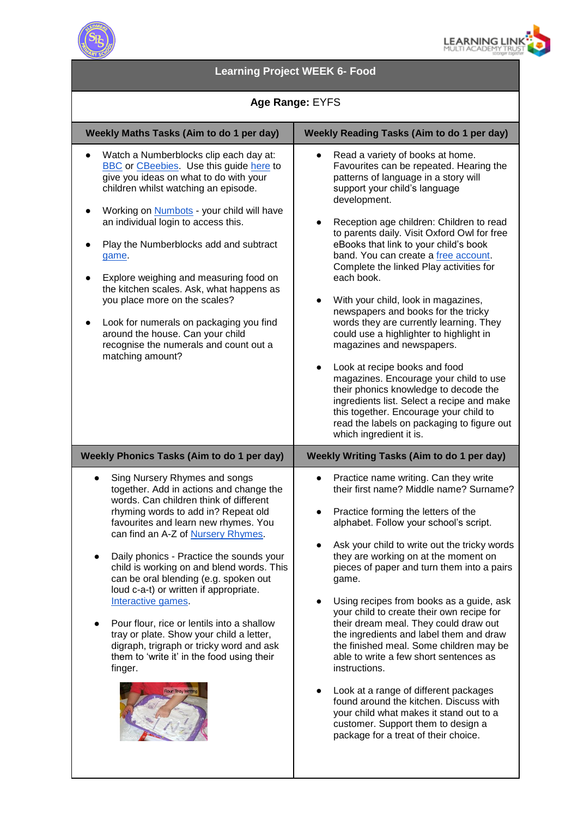



# **Learning Project WEEK 6- Food**

## **Age Range:** EYFS

| Weekly Maths Tasks (Aim to do 1 per day)                                                                                                                                                                                                                                                                                                                                                                                                                                                                                                                                                                                                                                    | <b>Weekly Reading Tasks (Aim to do 1 per day)</b>                                                                                                                                                                                                                                                                                                                                                                                                                                                                                                                                                                                                                                                                                                                                                                                                                                                            |
|-----------------------------------------------------------------------------------------------------------------------------------------------------------------------------------------------------------------------------------------------------------------------------------------------------------------------------------------------------------------------------------------------------------------------------------------------------------------------------------------------------------------------------------------------------------------------------------------------------------------------------------------------------------------------------|--------------------------------------------------------------------------------------------------------------------------------------------------------------------------------------------------------------------------------------------------------------------------------------------------------------------------------------------------------------------------------------------------------------------------------------------------------------------------------------------------------------------------------------------------------------------------------------------------------------------------------------------------------------------------------------------------------------------------------------------------------------------------------------------------------------------------------------------------------------------------------------------------------------|
| Watch a Numberblocks clip each day at:<br><b>BBC</b> or <b>CBeebies</b> Use this guide here to<br>give you ideas on what to do with your<br>children whilst watching an episode.<br>Working on <b>Numbots</b> - your child will have<br>an individual login to access this.<br>Play the Numberblocks add and subtract<br>game.<br>Explore weighing and measuring food on<br>the kitchen scales. Ask, what happens as<br>you place more on the scales?<br>Look for numerals on packaging you find<br>$\bullet$<br>around the house. Can your child<br>recognise the numerals and count out a<br>matching amount?                                                             | Read a variety of books at home.<br>Favourites can be repeated. Hearing the<br>patterns of language in a story will<br>support your child's language<br>development.<br>Reception age children: Children to read<br>to parents daily. Visit Oxford Owl for free<br>eBooks that link to your child's book<br>band. You can create a free account.<br>Complete the linked Play activities for<br>each book.<br>With your child, look in magazines,<br>newspapers and books for the tricky<br>words they are currently learning. They<br>could use a highlighter to highlight in<br>magazines and newspapers.<br>Look at recipe books and food<br>$\bullet$<br>magazines. Encourage your child to use<br>their phonics knowledge to decode the<br>ingredients list. Select a recipe and make<br>this together. Encourage your child to<br>read the labels on packaging to figure out<br>which ingredient it is. |
| <b>Weekly Phonics Tasks (Aim to do 1 per day)</b>                                                                                                                                                                                                                                                                                                                                                                                                                                                                                                                                                                                                                           | Weekly Writing Tasks (Aim to do 1 per day)                                                                                                                                                                                                                                                                                                                                                                                                                                                                                                                                                                                                                                                                                                                                                                                                                                                                   |
| Sing Nursery Rhymes and songs<br>$\bullet$<br>together. Add in actions and change the<br>words. Can children think of different<br>rhyming words to add in? Repeat old<br>favourites and learn new rhymes. You<br>can find an A-Z of Nursery Rhymes.<br>Daily phonics - Practice the sounds your<br>child is working on and blend words. This<br>can be oral blending (e.g. spoken out<br>loud c-a-t) or written if appropriate.<br>Interactive games.<br>Pour flour, rice or lentils into a shallow<br>tray or plate. Show your child a letter,<br>digraph, trigraph or tricky word and ask<br>them to 'write it' in the food using their<br>finger.<br>Flour Tray Writing | Practice name writing. Can they write<br>$\bullet$<br>their first name? Middle name? Surname?<br>Practice forming the letters of the<br>$\bullet$<br>alphabet. Follow your school's script.<br>Ask your child to write out the tricky words<br>they are working on at the moment on<br>pieces of paper and turn them into a pairs<br>game.<br>Using recipes from books as a guide, ask<br>$\bullet$<br>your child to create their own recipe for<br>their dream meal. They could draw out<br>the ingredients and label them and draw<br>the finished meal. Some children may be<br>able to write a few short sentences as<br>instructions.<br>Look at a range of different packages<br>found around the kitchen. Discuss with<br>your child what makes it stand out to a<br>customer. Support them to design a<br>package for a treat of their choice.                                                       |